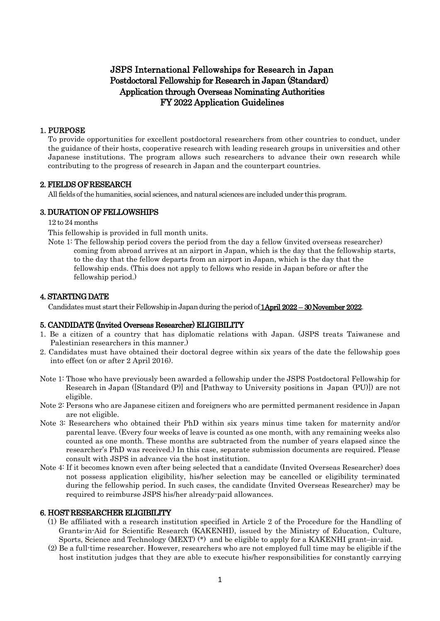# JSPS International Fellowships for Research in Japan Postdoctoral Fellowship for Research in Japan (Standard) Application through Overseas Nominating Authorities FY 2022 Application Guidelines

## 1. PURPOSE

To provide opportunities for excellent postdoctoral researchers from other countries to conduct, under the guidance of their hosts, cooperative research with leading research groups in universities and other Japanese institutions. The program allows such researchers to advance their own research while contributing to the progress of research in Japan and the counterpart countries.

## 2. FIELDS OF RESEARCH

All fields of the humanities, social sciences, and natural sciences are included under this program.

## 3. DURATION OF FELLOWSHIPS

12 to 24 months

This fellowship is provided in full month units.

Note 1: The fellowship period covers the period from the day a fellow (invited overseas researcher) coming from abroad arrives at an airport in Japan, which is the day that the fellowship starts, to the day that the fellow departs from an airport in Japan, which is the day that the fellowship ends. (This does not apply to fellows who reside in Japan before or after the fellowship period.)

## 4. STARTING DATE

Candidates must start their Fellowship in Japan during the period of **1 April 2022 – 30 November 2022**.

### 5. CANDIDATE (Invited Overseas Researcher) ELIGIBILITY

- 1. Be a citizen of a country that has diplomatic relations with Japan. (JSPS treats Taiwanese and Palestinian researchers in this manner.)
- 2. Candidates must have obtained their doctoral degree within six years of the date the fellowship goes into effect (on or after 2 April 2016).
- Note 1: Those who have previously been awarded a fellowship under the JSPS Postdoctoral Fellowship for Research in Japan ([Standard (P)] and [Pathway to University positions in Japan (PU)]) are not eligible.
- Note 2: Persons who are Japanese citizen and foreigners who are permitted permanent residence in Japan are not eligible.
- Note 3: Researchers who obtained their PhD within six years minus time taken for maternity and/or parental leave. (Every four weeks of leave is counted as one month, with any remaining weeks also counted as one month. These months are subtracted from the number of years elapsed since the researcher's PhD was received.) In this case, separate submission documents are required. Please consult with JSPS in advance via the host institution.
- Note 4: If it becomes known even after being selected that a candidate (Invited Overseas Researcher) does not possess application eligibility, his/her selection may be cancelled or eligibility terminated during the fellowship period. In such cases, the candidate (Invited Overseas Researcher) may be required to reimburse JSPS his/her already-paid allowances.

### 6. HOST RESEARCHER ELIGIBILITY

- (1) Be affiliated with a research institution specified in Article 2 of the Procedure for the Handling of Grants-in-Aid for Scientific Research (KAKENHI), issued by the Ministry of Education, Culture, Sports, Science and Technology (MEXT) (\*) and be eligible to apply for a KAKENHI grant–in-aid.
- (2) Be a full-time researcher. However, researchers who are not employed full time may be eligible if the host institution judges that they are able to execute his/her responsibilities for constantly carrying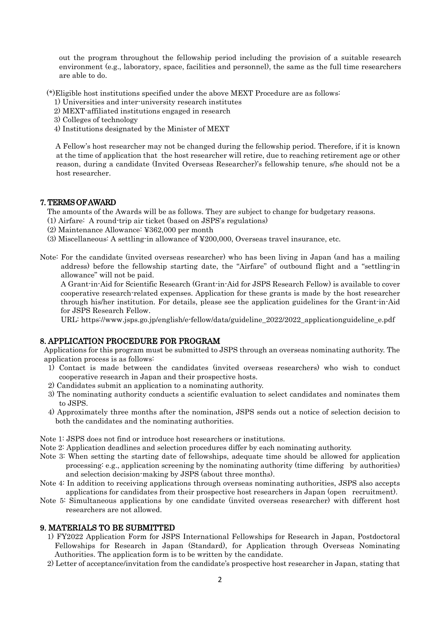out the program throughout the fellowship period including the provision of a suitable research environment (e.g., laboratory, space, facilities and personnel), the same as the full time researchers are able to do.

(\*)Eligible host institutions specified under the above MEXT Procedure are as follows:

1) Universities and inter-university research institutes

2) MEXT-affiliated institutions engaged in research

- 3) Colleges of technology
- 4) Institutions designated by the Minister of MEXT

A Fellow's host researcher may not be changed during the fellowship period. Therefore, if it is known at the time of application that the host researcher will retire, due to reaching retirement age or other reason, during a candidate (Invited Overseas Researcher)'s fellowship tenure, s/he should not be a host researcher.

## 7. TERMS OF AWARD

The amounts of the Awards will be as follows. They are subject to change for budgetary reasons.

- (1) Airfare: A round-trip air ticket (based on JSPS's regulations)
- (2) Maintenance Allowance: ¥362,000 per month
- (3) Miscellaneous: A settling-in allowance of ¥200,000, Overseas travel insurance, etc.
- Note: For the candidate (invited overseas researcher) who has been living in Japan (and has a mailing address) before the fellowship starting date, the "Airfare" of outbound flight and a "settling-in allowance" will not be paid.

A Grant-in-Aid for Scientific Research (Grant-in-Aid for JSPS Research Fellow) is available to cover cooperative research-related expenses. Application for these grants is made by the host researcher through his/her institution. For details, please see the application guidelines for the Grant-in-Aid for JSPS Research Fellow.

URL: https://www.jsps.go.jp/english/e-fellow/data/guideline\_2022/2022\_applicationguideline\_e.pdf

## 8. APPLICATION PROCEDURE FOR PROGRAM

Applications for this program must be submitted to JSPS through an overseas nominating authority. The application process is as follows:

- 1) Contact is made between the candidates (invited overseas researchers) who wish to conduct cooperative research in Japan and their prospective hosts.
- 2) Candidates submit an application to a nominating authority.
- 3) The nominating authority conducts a scientific evaluation to select candidates and nominates them to JSPS.
- 4) Approximately three months after the nomination, JSPS sends out a notice of selection decision to both the candidates and the nominating authorities.
- Note 1: JSPS does not find or introduce host researchers or institutions.
- Note 2: Application deadlines and selection procedures differ by each nominating authority.
- Note 3: When setting the starting date of fellowships, adequate time should be allowed for application processing: e.g., application screening by the nominating authority (time differing by authorities) and selection decision-making by JSPS (about three months).
- Note 4: In addition to receiving applications through overseas nominating authorities, JSPS also accepts applications for candidates from their prospective host researchers in Japan (open recruitment).
- Note 5: Simultaneous applications by one candidate (invited overseas researcher) with different host researchers are not allowed.

## 9. MATERIALS TO BE SUBMITTED

- 1) FY2022 Application Form for JSPS International Fellowships for Research in Japan, Postdoctoral Fellowships for Research in Japan (Standard), for Application through Overseas Nominating Authorities. The application form is to be written by the candidate.
- 2) Letter of acceptance/invitation from the candidate's prospective host researcher in Japan, stating that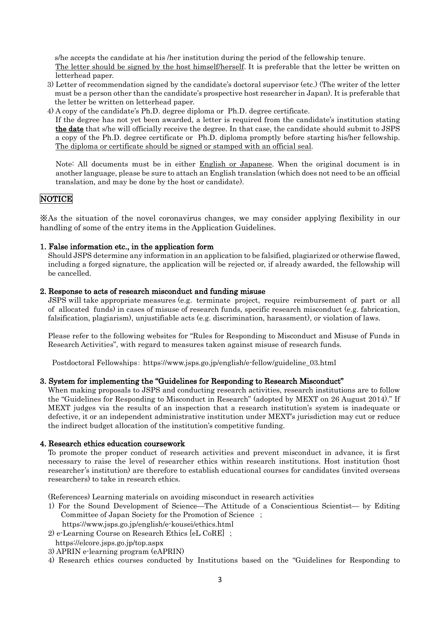s/he accepts the candidate at his /her institution during the period of the fellowship tenure.

The letter should be signed by the host himself/herself. It is preferable that the letter be written on letterhead paper.

- 3) Letter of recommendation signed by the candidate's doctoral supervisor (etc.) (The writer of the letter must be a person other than the candidate's prospective host researcher in Japan). It is preferable that the letter be written on letterhead paper.
- 4) A copy of the candidate's Ph.D. degree diploma or Ph.D. degree certificate.

If the degree has not yet been awarded, a letter is required from the candidate's institution stating the date that s/he will officially receive the degree. In that case, the candidate should submit to JSPS a copy of the Ph.D. degree certificate or Ph.D. diploma promptly before starting his/her fellowship. The diploma or certificate should be signed or stamped with an official seal.

Note: All documents must be in either **English or Japanese**. When the original document is in another language, please be sure to attach an English translation (which does not need to be an official translation, and may be done by the host or candidate).

## **NOTICE**

※As the situation of the novel coronavirus changes, we may consider applying flexibility in our handling of some of the entry items in the Application Guidelines.

### 1. False information etc., in the application form

Should JSPS determine any information in an application to be falsified, plagiarized or otherwise flawed, including a forged signature, the application will be rejected or, if already awarded, the fellowship will be cancelled.

### 2. Response to acts of research misconduct and funding misuse

JSPS will take appropriate measures (e.g. terminate project, require reimbursement of part or all of allocated funds) in cases of misuse of research funds, specific research misconduct (e.g. fabrication, falsification, plagiarism), unjustifiable acts (e.g. discrimination, harassment), or violation of laws.

Please refer to the following websites for "Rules for Responding to Misconduct and Misuse of Funds in Research Activities", with regard to measures taken against misuse of research funds.

Postdoctoral Fellowships: https://www.jsps.go.jp/english/e-fellow/guideline\_03.html

### 3. System for implementing the "Guidelines for Responding to Research Misconduct"

When making proposals to JSPS and conducting research activities, research institutions are to follow the "Guidelines for Responding to Misconduct in Research" (adopted by MEXT on 26 August 2014)." If MEXT judges via the results of an inspection that a research institution's system is inadequate or defective, it or an independent administrative institution under MEXT's jurisdiction may cut or reduce the indirect budget allocation of the institution's competitive funding.

#### 4. Research ethics education coursework

To promote the proper conduct of research activities and prevent misconduct in advance, it is first necessary to raise the level of researcher ethics within research institutions. Host institution (host researcher's institution) are therefore to establish educational courses for candidates (invited overseas researchers) to take in research ethics.

(References) Learning materials on avoiding misconduct in research activities

1) For the Sound Development of Science—The Attitude of a Conscientious Scientist— by Editing Committee of Japan Society for the Promotion of Science ;

https://www.jsps.go.jp/english/e-kousei/ethics.html

- 2) e-Learning Course on Research Ethics [eL CoRE] ; https://elcore.jsps.go.jp/top.aspx
- 3) APRIN e-learning program (eAPRIN)
- 4) Research ethics courses conducted by Institutions based on the "Guidelines for Responding to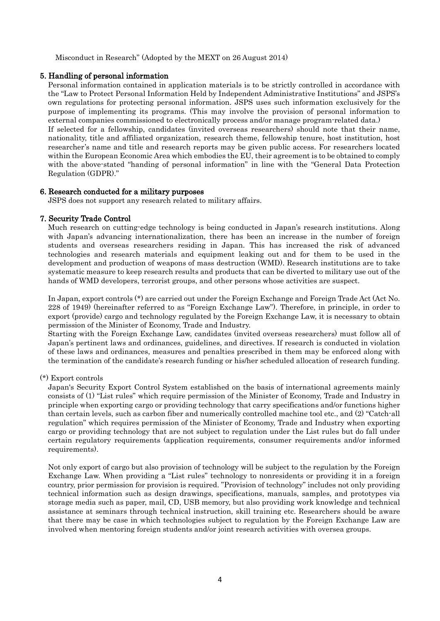Misconduct in Research" (Adopted by the MEXT on 26 August 2014)

## 5. Handling of personal information

Personal information contained in application materials is to be strictly controlled in accordance with the "Law to Protect Personal Information Held by Independent Administrative Institutions" and JSPS's own regulations for protecting personal information. JSPS uses such information exclusively for the purpose of implementing its programs. (This may involve the provision of personal information to external companies commissioned to electronically process and/or manage program-related data.) If selected for a fellowship, candidates (invited overseas researchers) should note that their name, nationality, title and affiliated organization, research theme, fellowship tenure, host institution, host researcher's name and title and research reports may be given public access. For researchers located within the European Economic Area which embodies the EU, their agreement is to be obtained to comply with the above-stated "handing of personal information" in line with the "General Data Protection Regulation (GDPR)."

## 6. Research conducted for a military purposes

JSPS does not support any research related to military affairs.

## 7. Security Trade Control

Much research on cutting-edge technology is being conducted in Japan's research institutions. Along with Japan's advancing internationalization, there has been an increase in the number of foreign students and overseas researchers residing in Japan. This has increased the risk of advanced technologies and research materials and equipment leaking out and for them to be used in the development and production of weapons of mass destruction (WMD). Research institutions are to take systematic measure to keep research results and products that can be diverted to military use out of the hands of WMD developers, terrorist groups, and other persons whose activities are suspect.

In Japan, export controls (\*) are carried out under the Foreign Exchange and Foreign Trade Act (Act No. 228 of 1949) (hereinafter referred to as "Foreign Exchange Law"). Therefore, in principle, in order to export (provide) cargo and technology regulated by the Foreign Exchange Law, it is necessary to obtain permission of the Minister of Economy, Trade and Industry.

Starting with the Foreign Exchange Law, candidates (invited overseas researchers) must follow all of Japan's pertinent laws and ordinances, guidelines, and directives. If research is conducted in violation of these laws and ordinances, measures and penalties prescribed in them may be enforced along with the termination of the candidate's research funding or his/her scheduled allocation of research funding.

### (\*) Export controls

Japan's Security Export Control System established on the basis of international agreements mainly consists of (1) "List rules" which require permission of the Minister of Economy, Trade and Industry in principle when exporting cargo or providing technology that carry specifications and/or functions higher than certain levels, such as carbon fiber and numerically controlled machine tool etc., and (2) "Catch-all regulation" which requires permission of the Minister of Economy, Trade and Industry when exporting cargo or providing technology that are not subject to regulation under the List rules but do fall under certain regulatory requirements (application requirements, consumer requirements and/or informed requirements).

Not only export of cargo but also provision of technology will be subject to the regulation by the Foreign Exchange Law. When providing a "List rules" technology to nonresidents or providing it in a foreign country, prior permission for provision is required. "Provision of technology" includes not only providing technical information such as design drawings, specifications, manuals, samples, and prototypes via storage media such as paper, mail, CD, USB memory, but also providing work knowledge and technical assistance at seminars through technical instruction, skill training etc. Researchers should be aware that there may be case in which technologies subject to regulation by the Foreign Exchange Law are involved when mentoring foreign students and/or joint research activities with oversea groups.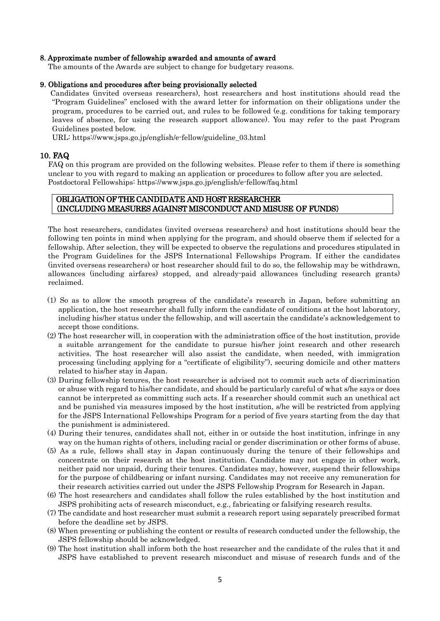#### 8. Approximate number of fellowship awarded and amounts of award

The amounts of the Awards are subject to change for budgetary reasons.

#### 9. Obligations and procedures after being provisionally selected

Candidates (invited overseas researchers), host researchers and host institutions should read the "Program Guidelines" enclosed with the award letter for information on their obligations under the program, procedures to be carried out, and rules to be followed (e.g. conditions for taking temporary leaves of absence, for using the research support allowance). You may refer to the past Program Guidelines posted below.

URL: https://www.jsps.go.jp/english/e-fellow/guideline\_03.html

## 10. FAQ

FAQ on this program are provided on the following websites. Please refer to them if there is something unclear to you with regard to making an application or procedures to follow after you are selected. Postdoctoral Fellowships: https://www.jsps.go.jp/english/e-fellow/faq.html

## OBLIGATION OF THE CANDIDATE AND HOST RESEARCHER (INCLUDING MEASURES AGAINST MISCONDUCT AND MISUSE OF FUNDS)

The host researchers, candidates (invited overseas researchers) and host institutions should bear the following ten points in mind when applying for the program, and should observe them if selected for a fellowship. After selection, they will be expected to observe the regulations and procedures stipulated in the Program Guidelines for the JSPS International Fellowships Program. If either the candidates (invited overseas researchers) or host researcher should fail to do so, the fellowship may be withdrawn, allowances (including airfares) stopped, and already-paid allowances (including research grants) reclaimed.

- (1) So as to allow the smooth progress of the candidate's research in Japan, before submitting an application, the host researcher shall fully inform the candidate of conditions at the host laboratory, including his/her status under the fellowship, and will ascertain the candidate's acknowledgement to accept those conditions.
- (2) The host researcher will, in cooperation with the administration office of the host institution, provide a suitable arrangement for the candidate to pursue his/her joint research and other research activities. The host researcher will also assist the candidate, when needed, with immigration processing (including applying for a "certificate of eligibility"), securing domicile and other matters related to his/her stay in Japan.
- (3) During fellowship tenures, the host researcher is advised not to commit such acts of discrimination or abuse with regard to his/her candidate, and should be particularly careful of what s/he says or does cannot be interpreted as committing such acts. If a researcher should commit such an unethical act and be punished via measures imposed by the host institution, s/he will be restricted from applying for the JSPS International Fellowships Program for a period of five years starting from the day that the punishment is administered.
- (4) During their tenures, candidates shall not, either in or outside the host institution, infringe in any way on the human rights of others, including racial or gender discrimination or other forms of abuse.
- (5) As a rule, fellows shall stay in Japan continuously during the tenure of their fellowships and concentrate on their research at the host institution. Candidate may not engage in other work, neither paid nor unpaid, during their tenures. Candidates may, however, suspend their fellowships for the purpose of childbearing or infant nursing. Candidates may not receive any remuneration for their research activities carried out under the JSPS Fellowship Program for Research in Japan.
- (6) The host researchers and candidates shall follow the rules established by the host institution and JSPS prohibiting acts of research misconduct, e.g., fabricating or falsifying research results.
- (7) The candidate and host researcher must submit a research report using separately prescribed format before the deadline set by JSPS.
- (8) When presenting or publishing the content or results of research conducted under the fellowship, the JSPS fellowship should be acknowledged.
- (9) The host institution shall inform both the host researcher and the candidate of the rules that it and JSPS have established to prevent research misconduct and misuse of research funds and of the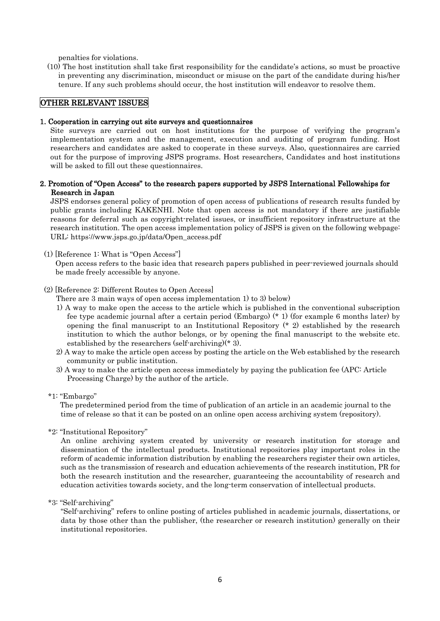penalties for violations.

(10) The host institution shall take first responsibility for the candidate's actions, so must be proactive in preventing any discrimination, misconduct or misuse on the part of the candidate during his/her tenure. If any such problems should occur, the host institution will endeavor to resolve them.

## OTHER RELEVANT ISSUES

### 1. Cooperation in carrying out site surveys and questionnaires

Site surveys are carried out on host institutions for the purpose of verifying the program's implementation system and the management, execution and auditing of program funding. Host researchers and candidates are asked to cooperate in these surveys. Also, questionnaires are carried out for the purpose of improving JSPS programs. Host researchers, Candidates and host institutions will be asked to fill out these questionnaires.

## 2. Promotion of "Open Access" to the research papers supported by JSPS International Fellowships for Research in Japan

JSPS endorses general policy of promotion of open access of publications of research results funded by public grants including KAKENHI. Note that open access is not mandatory if there are justifiable reasons for deferral such as copyright-related issues, or insufficient repository infrastructure at the research institution. The open access implementation policy of JSPS is given on the following webpage: URL: https://www.jsps.go.jp/data/Open\_access.pdf

#### (1) [Reference 1: What is "Open Access"]

Open access refers to the basic idea that research papers published in peer-reviewed journals should be made freely accessible by anyone.

#### (2) [Reference 2: Different Routes to Open Access]

There are 3 main ways of open access implementation 1) to 3) below)

- 1) A way to make open the access to the article which is published in the conventional subscription fee type academic journal after a certain period (Embargo) (\* 1) (for example 6 months later) by opening the final manuscript to an Institutional Repository  $(* 2)$  established by the research institution to which the author belongs, or by opening the final manuscript to the website etc. established by the researchers (self-archiving)(\* 3).
- 2) A way to make the article open access by posting the article on the Web established by the research community or public institution.
- 3) A way to make the article open access immediately by paying the publication fee (APC: Article Processing Charge) by the author of the article.
- \*1: "Embargo"

The predetermined period from the time of publication of an article in an academic journal to the time of release so that it can be posted on an online open access archiving system (repository).

\*2: "Institutional Repository"

An online archiving system created by university or research institution for storage and dissemination of the intellectual products. Institutional repositories play important roles in the reform of academic information distribution by enabling the researchers register their own articles, such as the transmission of research and education achievements of the research institution, PR for both the research institution and the researcher, guaranteeing the accountability of research and education activities towards society, and the long-term conservation of intellectual products.

\*3: "Self-archiving"

"Self-archiving" refers to online posting of articles published in academic journals, dissertations, or data by those other than the publisher, (the researcher or research institution) generally on their institutional repositories.